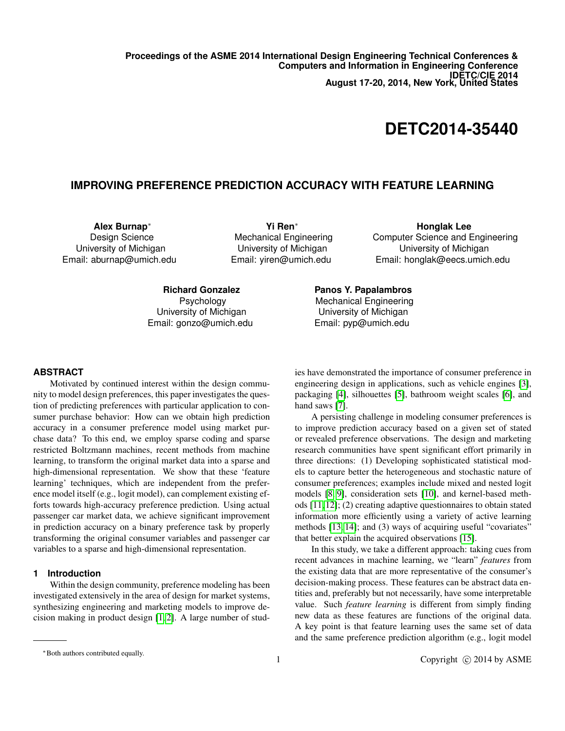**Proceedings of the ASME 2014 International Design Engineering Technical Conferences & Computers and Information in Engineering Conference IDETC/CIE 2014 August 17-20, 2014, New York, United States**

# **DETC2014-35440**

## **IMPROVING PREFERENCE PREDICTION ACCURACY WITH FEATURE LEARNING**

**Alex Burnap**<sup>∗</sup> Design Science University of Michigan Email: aburnap@umich.edu

**Yi Ren**<sup>∗</sup> Mechanical Engineering University of Michigan Email: yiren@umich.edu

**Honglak Lee** Computer Science and Engineering University of Michigan Email: honglak@eecs.umich.edu

**Richard Gonzalez** Psychology University of Michigan Email: gonzo@umich.edu **Panos Y. Papalambros** Mechanical Engineering University of Michigan Email: pyp@umich.edu

### **ABSTRACT**

Motivated by continued interest within the design community to model design preferences, this paper investigates the question of predicting preferences with particular application to consumer purchase behavior: How can we obtain high prediction accuracy in a consumer preference model using market purchase data? To this end, we employ sparse coding and sparse restricted Boltzmann machines, recent methods from machine learning, to transform the original market data into a sparse and high-dimensional representation. We show that these 'feature learning' techniques, which are independent from the preference model itself (e.g., logit model), can complement existing efforts towards high-accuracy preference prediction. Using actual passenger car market data, we achieve significant improvement in prediction accuracy on a binary preference task by properly transforming the original consumer variables and passenger car variables to a sparse and high-dimensional representation.

## **1 Introduction**

Within the design community, preference modeling has been investigated extensively in the area of design for market systems, synthesizing engineering and marketing models to improve decision making in product design [\[1,](#page-7-0) [2\]](#page-7-1). A large number of studies have demonstrated the importance of consumer preference in engineering design in applications, such as vehicle engines [\[3\]](#page-7-2), packaging [\[4\]](#page-7-3), silhouettes [\[5\]](#page-7-4), bathroom weight scales [\[6\]](#page-7-5), and hand saws [\[7\]](#page-7-6).

A persisting challenge in modeling consumer preferences is to improve prediction accuracy based on a given set of stated or revealed preference observations. The design and marketing research communities have spent significant effort primarily in three directions: (1) Developing sophisticated statistical models to capture better the heterogeneous and stochastic nature of consumer preferences; examples include mixed and nested logit models [\[8,](#page-7-7) [9\]](#page-7-8), consideration sets [\[10\]](#page-7-9), and kernel-based methods [\[11,](#page-7-10) [12\]](#page-7-11); (2) creating adaptive questionnaires to obtain stated information more efficiently using a variety of active learning methods [\[13,](#page-7-12) [14\]](#page-7-13); and (3) ways of acquiring useful "covariates" that better explain the acquired observations [\[15\]](#page-7-14).

In this study, we take a different approach: taking cues from recent advances in machine learning, we "learn" *features* from the existing data that are more representative of the consumer's decision-making process. These features can be abstract data entities and, preferably but not necessarily, have some interpretable value. Such *feature learning* is different from simply finding new data as these features are functions of the original data. A key point is that feature learning uses the same set of data and the same preference prediction algorithm (e.g., logit model

<sup>∗</sup>Both authors contributed equally.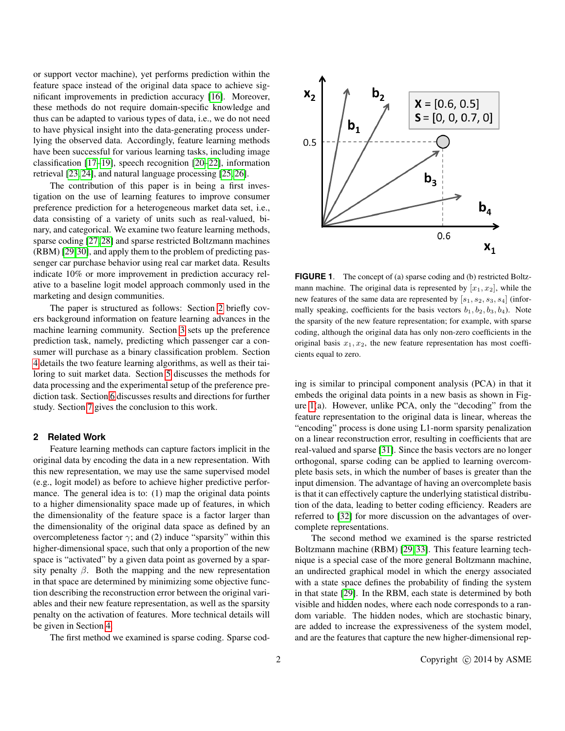or support vector machine), yet performs prediction within the feature space instead of the original data space to achieve significant improvements in prediction accuracy [\[16\]](#page-7-15). Moreover, these methods do not require domain-specific knowledge and thus can be adapted to various types of data, i.e., we do not need to have physical insight into the data-generating process underlying the observed data. Accordingly, feature learning methods have been successful for various learning tasks, including image classification [\[17–](#page-7-16)[19\]](#page-7-17), speech recognition [\[20](#page-8-0)[–22\]](#page-8-1), information retrieval [\[23,](#page-8-2) [24\]](#page-8-3), and natural language processing [\[25,](#page-8-4) [26\]](#page-8-5).

The contribution of this paper is in being a first investigation on the use of learning features to improve consumer preference prediction for a heterogeneous market data set, i.e., data consisting of a variety of units such as real-valued, binary, and categorical. We examine two feature learning methods, sparse coding [\[27,](#page-8-6) [28\]](#page-8-7) and sparse restricted Boltzmann machines (RBM) [\[29](#page-8-8)[,30\]](#page-8-9), and apply them to the problem of predicting passenger car purchase behavior using real car market data. Results indicate 10% or more improvement in prediction accuracy relative to a baseline logit model approach commonly used in the marketing and design communities.

The paper is structured as follows: Section [2](#page-1-0) briefly covers background information on feature learning advances in the machine learning community. Section [3](#page-2-0) sets up the preference prediction task, namely, predicting which passenger car a consumer will purchase as a binary classification problem. Section [4](#page-3-0) details the two feature learning algorithms, as well as their tailoring to suit market data. Section [5](#page-5-0) discusses the methods for data processing and the experimental setup of the preference prediction task. Section [6](#page-6-0) discusses results and directions for further study. Section [7](#page-7-18) gives the conclusion to this work.

## <span id="page-1-0"></span>**2 Related Work**

Feature learning methods can capture factors implicit in the original data by encoding the data in a new representation. With this new representation, we may use the same supervised model (e.g., logit model) as before to achieve higher predictive performance. The general idea is to: (1) map the original data points to a higher dimensionality space made up of features, in which the dimensionality of the feature space is a factor larger than the dimensionality of the original data space as defined by an overcompleteness factor  $\gamma$ ; and (2) induce "sparsity" within this higher-dimensional space, such that only a proportion of the new space is "activated" by a given data point as governed by a sparsity penalty  $\beta$ . Both the mapping and the new representation in that space are determined by minimizing some objective function describing the reconstruction error between the original variables and their new feature representation, as well as the sparsity penalty on the activation of features. More technical details will be given in Section [4.](#page-3-0)

The first method we examined is sparse coding. Sparse cod-



<span id="page-1-1"></span>**FIGURE 1.** The concept of (a) sparse coding and (b) restricted Boltzmann machine. The original data is represented by  $[x_1, x_2]$ , while the new features of the same data are represented by  $[s_1, s_2, s_3, s_4]$  (informally speaking, coefficients for the basis vectors  $b_1, b_2, b_3, b_4$ ). Note the sparsity of the new feature representation; for example, with sparse coding, although the original data has only non-zero coefficients in the original basis  $x_1, x_2$ , the new feature representation has most coefficients equal to zero.

ing is similar to principal component analysis (PCA) in that it embeds the original data points in a new basis as shown in Figure [1\(](#page-1-1)a). However, unlike PCA, only the "decoding" from the feature representation to the original data is linear, whereas the "encoding" process is done using L1-norm sparsity penalization on a linear reconstruction error, resulting in coefficients that are real-valued and sparse [\[31\]](#page-8-10). Since the basis vectors are no longer orthogonal, sparse coding can be applied to learning overcomplete basis sets, in which the number of bases is greater than the input dimension. The advantage of having an overcomplete basis is that it can effectively capture the underlying statistical distribution of the data, leading to better coding efficiency. Readers are referred to [\[32\]](#page-8-11) for more discussion on the advantages of overcomplete representations.

The second method we examined is the sparse restricted Boltzmann machine (RBM) [\[29,](#page-8-8) [33\]](#page-8-12). This feature learning technique is a special case of the more general Boltzmann machine, an undirected graphical model in which the energy associated with a state space defines the probability of finding the system in that state [\[29\]](#page-8-8). In the RBM, each state is determined by both visible and hidden nodes, where each node corresponds to a random variable. The hidden nodes, which are stochastic binary, are added to increase the expressiveness of the system model, and are the features that capture the new higher-dimensional rep-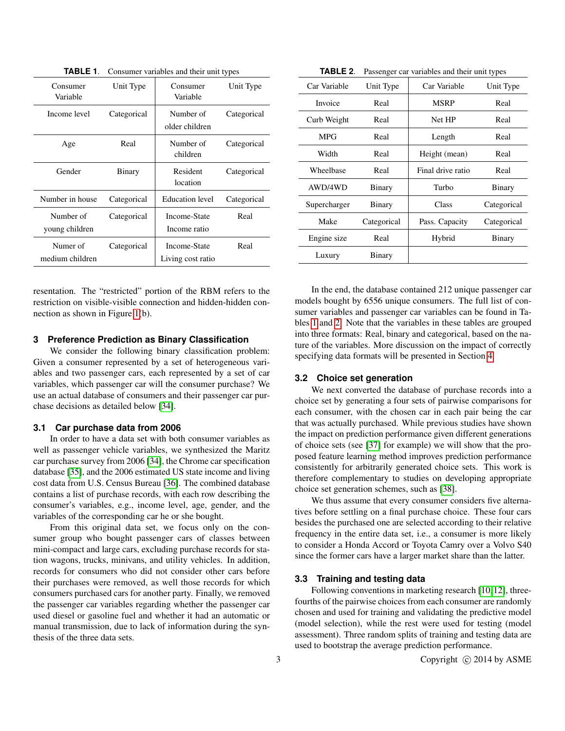|             |                                                   | Unit Type                                                                                             |
|-------------|---------------------------------------------------|-------------------------------------------------------------------------------------------------------|
|             |                                                   |                                                                                                       |
|             |                                                   |                                                                                                       |
| Categorical | Number of                                         | Categorical                                                                                           |
|             |                                                   |                                                                                                       |
|             |                                                   |                                                                                                       |
| Real        | Number of                                         | Categorical                                                                                           |
|             | children                                          |                                                                                                       |
|             |                                                   |                                                                                                       |
|             |                                                   | Categorical                                                                                           |
|             |                                                   |                                                                                                       |
| Categorical | <b>Education</b> level                            | Categorical                                                                                           |
|             |                                                   |                                                                                                       |
|             |                                                   | Real                                                                                                  |
|             | Income ratio                                      |                                                                                                       |
|             |                                                   | Real                                                                                                  |
|             |                                                   |                                                                                                       |
|             | Living cost ratio                                 |                                                                                                       |
|             | Unit Type<br>Binary<br>Categorical<br>Categorical | Consumer<br>Variable<br>older children<br><b>Resident</b><br>location<br>Income-State<br>Income-State |

<span id="page-2-1"></span>**TABLE 1**. Consumer variables and their unit types

resentation. The "restricted" portion of the RBM refers to the restriction on visible-visible connection and hidden-hidden connection as shown in Figure [1\(](#page-1-1)b).

### <span id="page-2-0"></span>**3 Preference Prediction as Binary Classification**

We consider the following binary classification problem: Given a consumer represented by a set of heterogeneous variables and two passenger cars, each represented by a set of car variables, which passenger car will the consumer purchase? We use an actual database of consumers and their passenger car purchase decisions as detailed below [\[34\]](#page-8-13).

#### **3.1 Car purchase data from 2006**

In order to have a data set with both consumer variables as well as passenger vehicle variables, we synthesized the Maritz car purchase survey from 2006 [\[34\]](#page-8-13), the Chrome car specification database [\[35\]](#page-8-14), and the 2006 estimated US state income and living cost data from U.S. Census Bureau [\[36\]](#page-8-15). The combined database contains a list of purchase records, with each row describing the consumer's variables, e.g., income level, age, gender, and the variables of the corresponding car he or she bought.

From this original data set, we focus only on the consumer group who bought passenger cars of classes between mini-compact and large cars, excluding purchase records for station wagons, trucks, minivans, and utility vehicles. In addition, records for consumers who did not consider other cars before their purchases were removed, as well those records for which consumers purchased cars for another party. Finally, we removed the passenger car variables regarding whether the passenger car used diesel or gasoline fuel and whether it had an automatic or manual transmission, due to lack of information during the synthesis of the three data sets.

<span id="page-2-2"></span>**TABLE 2**. Passenger car variables and their unit types

| Unit Type   | Car Variable      | Unit Type   |
|-------------|-------------------|-------------|
| Real        | <b>MSRP</b>       | Real        |
| Real        | Net HP            | Real        |
| Real        | Length            | Real        |
| Real        | Height (mean)     | Real        |
| Real        | Final drive ratio | Real        |
| Binary      | Turbo             | Binary      |
| Binary      | Class             | Categorical |
| Categorical | Pass. Capacity    | Categorical |
| Real        | Hybrid            | Binary      |
| Binary      |                   |             |
|             |                   |             |

In the end, the database contained 212 unique passenger car models bought by 6556 unique consumers. The full list of consumer variables and passenger car variables can be found in Tables [1](#page-2-1) and [2.](#page-2-2) Note that the variables in these tables are grouped into three formats: Real, binary and categorical, based on the nature of the variables. More discussion on the impact of correctly specifying data formats will be presented in Section [4.](#page-3-0)

#### <span id="page-2-4"></span>**3.2 Choice set generation**

We next converted the database of purchase records into a choice set by generating a four sets of pairwise comparisons for each consumer, with the chosen car in each pair being the car that was actually purchased. While previous studies have shown the impact on prediction performance given different generations of choice sets (see [\[37\]](#page-8-16) for example) we will show that the proposed feature learning method improves prediction performance consistently for arbitrarily generated choice sets. This work is therefore complementary to studies on developing appropriate choice set generation schemes, such as [\[38\]](#page-8-17).

We thus assume that every consumer considers five alternatives before settling on a final purchase choice. These four cars besides the purchased one are selected according to their relative frequency in the entire data set, i.e., a consumer is more likely to consider a Honda Accord or Toyota Camry over a Volvo S40 since the former cars have a larger market share than the latter.

## <span id="page-2-3"></span>**3.3 Training and testing data**

Following conventions in marketing research [\[10,](#page-7-9)[12\]](#page-7-11), threefourths of the pairwise choices from each consumer are randomly chosen and used for training and validating the predictive model (model selection), while the rest were used for testing (model assessment). Three random splits of training and testing data are used to bootstrap the average prediction performance.

3 Copyright © 2014 by ASME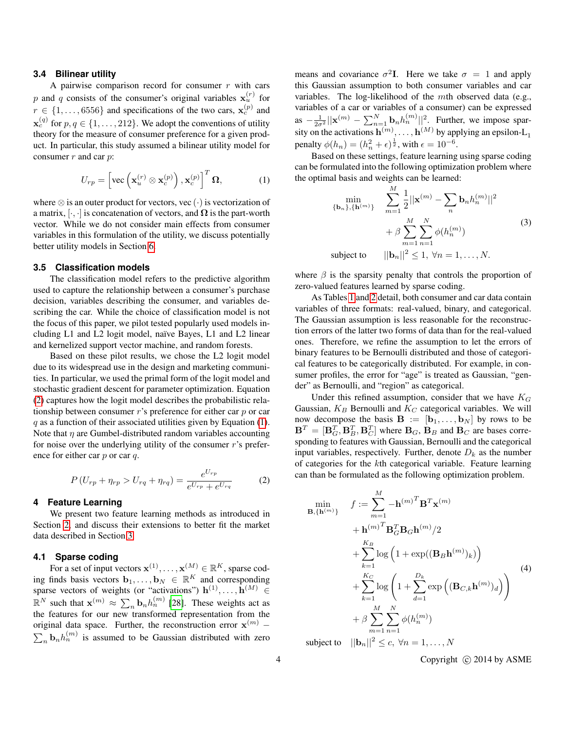#### <span id="page-3-4"></span>**3.4 Bilinear utility**

A pairwise comparison record for consumer  $r$  with cars p and q consists of the consumer's original variables  $\mathbf{x}_u^{(r)}$  for  $r \in \{1, \ldots, 6556\}$  and specifications of the two cars,  $\mathbf{x}_c^{(p)}$  and  $\mathbf{x}_c^{(q)}$  for  $p, q \in \{1, ..., 212\}$ . We adopt the conventions of utility theory for the measure of consumer preference for a given product. In particular, this study assumed a bilinear utility model for consumer  $r$  and car  $p$ :

<span id="page-3-2"></span>
$$
U_{rp} = \left[ \text{vec} \left( \mathbf{x}_u^{(r)} \otimes \mathbf{x}_c^{(p)} \right), \mathbf{x}_c^{(p)} \right]^T \mathbf{\Omega}, \tag{1}
$$

where  $\otimes$  is an outer product for vectors, vec  $(\cdot)$  is vectorization of a matrix,  $[\cdot, \cdot]$  is concatenation of vectors, and  $\Omega$  is the part-worth vector. While we do not consider main effects from consumer variables in this formulation of the utility, we discuss potentially better utility models in Section [6.](#page-6-0)

#### **3.5 Classification models**

The classification model refers to the predictive algorithm used to capture the relationship between a consumer's purchase decision, variables describing the consumer, and variables describing the car. While the choice of classification model is not the focus of this paper, we pilot tested popularly used models including L1 and L2 logit model, naïve Bayes, L1 and L2 linear and kernelized support vector machine, and random forests.

Based on these pilot results, we chose the L2 logit model due to its widespread use in the design and marketing communities. In particular, we used the primal form of the logit model and stochastic gradient descent for parameter optimization. Equation [\(2\)](#page-3-1) captures how the logit model describes the probabilistic relationship between consumer r's preference for either car p or car  $q$  as a function of their associated utilities given by Equation [\(1\)](#page-3-2). Note that  $\eta$  are Gumbel-distributed random variables accounting for noise over the underlying utility of the consumer r's preference for either car  $p$  or car  $q$ .

<span id="page-3-1"></span>
$$
P(U_{rp} + \eta_{rp} > U_{rq} + \eta_{rq}) = \frac{e^{U_{rp}}}{e^{U_{rp}} + e^{U_{rq}}} \tag{2}
$$

#### <span id="page-3-0"></span>**4 Feature Learning**

We present two feature learning methods as introduced in Section [2,](#page-1-0) and discuss their extensions to better fit the market data described in Section [3.](#page-2-0)

#### **4.1 Sparse coding**

For a set of input vectors  $\mathbf{x}^{(1)}, \dots, \mathbf{x}^{(M)} \in \mathbb{R}^K$ , sparse coding finds basis vectors  $\mathbf{b}_1, \ldots, \mathbf{b}_N \in \mathbb{R}^K$  and corresponding sparse vectors of weights (or "activations")  $h^{(1)}, \ldots, h^{(M)} \in$  $\mathbb{R}^N$  such that  $\mathbf{x}^{(m)} \approx \sum_n \mathbf{b}_n h_n^{(m)}$  [\[28\]](#page-8-7). These weights act as the features for our new transformed representation from the original data space. Further, the reconstruction error  $\mathbf{x}^{(m)}$  –  $\sum_{n}$ **b**<sub>n</sub> $h_n^{(m)}$  is assumed to be Gaussian distributed with zero

means and covariance  $\sigma^2 I$ . Here we take  $\sigma = 1$  and apply this Gaussian assumption to both consumer variables and car variables. The log-likelihood of the mth observed data (e.g., variables of a car or variables of a consumer) can be expressed as  $-\frac{1}{2\sigma^2}||\mathbf{x}^{(m)} - \sum_{n=1}^N \mathbf{b}_n h_n^{(m)}||^2$ . Further, we impose sparsity on the activations  $\mathbf{h}^{(m)}$ , ...,  $\mathbf{h}^{(M)}$  by applying an epsilon-L<sub>1</sub> penalty  $\phi(h_n) = (h_n^2 + \epsilon)^{\frac{1}{2}}$ , with  $\epsilon = 10^{-6}$ .

Based on these settings, feature learning using sparse coding can be formulated into the following optimization problem where the optimal basis and weights can be learned:

$$
\min_{\{\mathbf{b}_n\}, \{\mathbf{h}^{(m)}\}} \sum_{m=1}^{M} \frac{1}{2} ||\mathbf{x}^{(m)} - \sum_{n} \mathbf{b}_n h_n^{(m)}||^2
$$
  
+  $\beta \sum_{m=1}^{M} \sum_{n=1}^{N} \phi(h_n^{(m)})$   
subject to  $||\mathbf{b}_n||^2 \le 1, \forall n = 1, ..., N.$  (3)

where  $\beta$  is the sparsity penalty that controls the proportion of zero-valued features learned by sparse coding.

As Tables [1](#page-2-1) and [2](#page-2-2) detail, both consumer and car data contain variables of three formats: real-valued, binary, and categorical. The Gaussian assumption is less reasonable for the reconstruction errors of the latter two forms of data than for the real-valued ones. Therefore, we refine the assumption to let the errors of binary features to be Bernoulli distributed and those of categorical features to be categorically distributed. For example, in consumer profiles, the error for "age" is treated as Gaussian, "gender" as Bernoulli, and "region" as categorical.

Under this refined assumption, consider that we have  $K_G$ Gaussian,  $K_B$  Bernoulli and  $K_C$  categorical variables. We will now decompose the basis  $\mathbf{B} := [\mathbf{b}_1, \dots, \mathbf{b}_N]$  by rows to be  $\mathbf{B}^T = [\mathbf{B}_G^T, \mathbf{B}_B^T, \mathbf{B}_C^T]$  where  $\mathbf{B}_G$ ,  $\mathbf{B}_B$  and  $\mathbf{B}_C$  are bases corresponding to features with Gaussian, Bernoulli and the categorical input variables, respectively. Further, denote  $D_k$  as the number of categories for the kth categorical variable. Feature learning can than be formulated as the following optimization problem.

<span id="page-3-3"></span>
$$
\min_{\mathbf{B}, \{\mathbf{h}^{(m)}\}} f := \sum_{m=1}^{M} -\mathbf{h}^{(m)}^{T} \mathbf{B}^{T} \mathbf{x}^{(m)} + \mathbf{h}^{(m)}^{T} \mathbf{B}_{G}^{T} \mathbf{B}_{G} \mathbf{h}^{(m)}/2 + \sum_{k=1}^{K_{B}} \log \left( 1 + \exp((\mathbf{B}_{B} \mathbf{h}^{(m)})_{k}) \right) + \sum_{k=1}^{K_{C}} \log \left( 1 + \sum_{d=1}^{D_{k}} \exp \left( (\mathbf{B}_{C,k} \mathbf{h}^{(m)})_{d} \right) \right) + \beta \sum_{m=1}^{M} \sum_{n=1}^{N} \phi(h_{n}^{(m)}) \tag{4}
$$

subject to  $||\mathbf{b}_n||^2 \leq c, \forall n = 1, ..., N$ 

4 Copyright (c) 2014 by ASME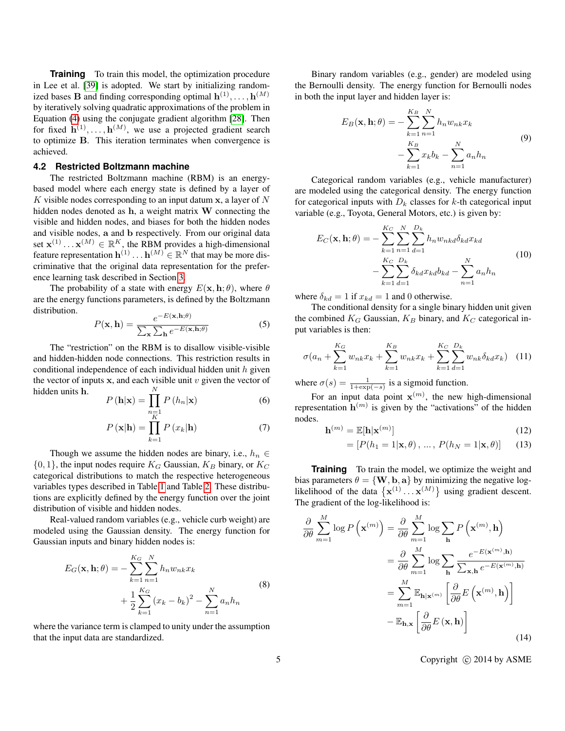**Training** To train this model, the optimization procedure in Lee et al. [\[39\]](#page-8-18) is adopted. We start by initializing randomized bases **B** and finding corresponding optimal  $h^{(1)}, \ldots, h^{(M)}$ by iteratively solving quadratic approximations of the problem in Equation [\(4\)](#page-3-3) using the conjugate gradient algorithm [\[28\]](#page-8-7). Then for fixed  $\mathbf{h}^{(1)}, \ldots, \mathbf{h}^{(M)}$ , we use a projected gradient search to optimize B. This iteration terminates when convergence is achieved.

#### **4.2 Restricted Boltzmann machine**

The restricted Boltzmann machine (RBM) is an energybased model where each energy state is defined by a layer of K visible nodes corresponding to an input datum  $x$ , a layer of N hidden nodes denoted as h, a weight matrix W connecting the visible and hidden nodes, and biases for both the hidden nodes and visible nodes, a and b respectively. From our original data set  $\mathbf{x}^{(1)} \dots \mathbf{x}^{(M)} \in \mathbb{R}^K$ , the RBM provides a high-dimensional feature representation  $\mathbf{h}^{(1)} \dots \mathbf{h}^{(M)} \in \mathbb{R}^N$  that may be more discriminative that the original data representation for the preference learning task described in Section [3.](#page-2-0)

The probability of a state with energy  $E(\mathbf{x}, \mathbf{h}; \theta)$ , where  $\theta$ are the energy functions parameters, is defined by the Boltzmann distribution.

$$
P(\mathbf{x}, \mathbf{h}) = \frac{e^{-E(\mathbf{x}, \mathbf{h}; \theta)}}{\sum_{\mathbf{x}} \sum_{\mathbf{h}} e^{-E(\mathbf{x}, \mathbf{h}; \theta)}}
$$
(5)

The "restriction" on the RBM is to disallow visible-visible and hidden-hidden node connections. This restriction results in conditional independence of each individual hidden unit  $h$  given the vector of inputs  $x$ , and each visible unit  $v$  given the vector of hidden units h. N

$$
P(\mathbf{h}|\mathbf{x}) = \prod_{\substack{n=1 \ k}}^{\infty} P(h_n|\mathbf{x})
$$
 (6)

$$
P(\mathbf{x}|\mathbf{h}) = \prod_{k=1}^{n} P(x_k|\mathbf{h})
$$
 (7)

Though we assume the hidden nodes are binary, i.e.,  $h_n \in$  $\{0, 1\}$ , the input nodes require  $K_G$  Gaussian,  $K_B$  binary, or  $K_C$ categorical distributions to match the respective heterogeneous variables types described in Table [1](#page-2-1) and Table [2.](#page-2-2) These distributions are explicitly defined by the energy function over the joint distribution of visible and hidden nodes.

Real-valued random variables (e.g., vehicle curb weight) are modeled using the Gaussian density. The energy function for Gaussian inputs and binary hidden nodes is:

$$
E_G(\mathbf{x}, \mathbf{h}; \theta) = -\sum_{k=1}^{K_G} \sum_{n=1}^{N} h_n w_{nk} x_k + \frac{1}{2} \sum_{k=1}^{K_G} (x_k - b_k)^2 - \sum_{n=1}^{N} a_n h_n
$$
 (8)

where the variance term is clamped to unity under the assumption that the input data are standardized.

Binary random variables (e.g., gender) are modeled using the Bernoulli density. The energy function for Bernoulli nodes in both the input layer and hidden layer is:

$$
E_B(\mathbf{x}, \mathbf{h}; \theta) = -\sum_{k=1}^{K_B} \sum_{n=1}^{N} h_n w_{nk} x_k - \sum_{k=1}^{K_B} x_k b_k - \sum_{n=1}^{N} a_n h_n
$$
\n(9)

Categorical random variables (e.g., vehicle manufacturer) are modeled using the categorical density. The energy function for categorical inputs with  $D_k$  classes for k-th categorical input variable (e.g., Toyota, General Motors, etc.) is given by:

$$
E_C(\mathbf{x}, \mathbf{h}; \theta) = -\sum_{k=1}^{K_C} \sum_{n=1}^{N} \sum_{d=1}^{D_k} h_n w_{nkd} \delta_{kd} x_{kd}
$$
  

$$
-\sum_{k=1}^{K_C} \sum_{d=1}^{D_k} \delta_{kd} x_{kd} b_{kd} - \sum_{n=1}^{N} a_n h_n
$$
 (10)

where  $\delta_{kd} = 1$  if  $x_{kd} = 1$  and 0 otherwise.

The conditional density for a single binary hidden unit given the combined  $K_G$  Gaussian,  $K_B$  binary, and  $K_C$  categorical input variables is then:

<span id="page-4-1"></span>
$$
\sigma(a_n + \sum_{k=1}^{K_G} w_{nk} x_k + \sum_{k=1}^{K_B} w_{nk} x_k + \sum_{k=1}^{K_C} \sum_{d=1}^{D_k} w_{nk} \delta_{kd} x_k)
$$
 (11)

where  $\sigma(s) = \frac{1}{1 + \exp(-s)}$  is a sigmoid function.

For an input data point  $\mathbf{x}^{(m)}$ , the new high-dimensional representation  $\mathbf{h}^{(m)}$  is given by the "activations" of the hidden nodes.

$$
\mathbf{h}^{(m)} = \mathbb{E}[\mathbf{h}|\mathbf{x}^{(m)}]
$$
 (12)

$$
= [P(h_1 = 1 | \mathbf{x}, \theta), \dots, P(h_N = 1 | \mathbf{x}, \theta)] \qquad (13)
$$

**Training** To train the model, we optimize the weight and bias parameters  $\theta = \{W, b, a\}$  by minimizing the negative loglikelihood of the data  $\{x^{(1)} \dots x^{(M)}\}$  using gradient descent. The gradient of the log-likelihood is:

<span id="page-4-0"></span>
$$
\frac{\partial}{\partial \theta} \sum_{m=1}^{M} \log P\left(\mathbf{x}^{(m)}\right) = \frac{\partial}{\partial \theta} \sum_{m=1}^{M} \log \sum_{\mathbf{h}} P\left(\mathbf{x}^{(m)}, \mathbf{h}\right)
$$

$$
= \frac{\partial}{\partial \theta} \sum_{m=1}^{M} \log \sum_{\mathbf{h}} \frac{e^{-E(\mathbf{x}^{(m)}, \mathbf{h})}}{\sum_{\mathbf{x}, \mathbf{h}} e^{-E(\mathbf{x}^{(m)}, \mathbf{h})}}
$$

$$
= \sum_{m=1}^{M} \mathbb{E}_{\mathbf{h} | \mathbf{x}^{(m)}} \left[\frac{\partial}{\partial \theta} E\left(\mathbf{x}^{(m)}, \mathbf{h}\right)\right]
$$

$$
- \mathbb{E}_{\mathbf{h}, \mathbf{x}} \left[\frac{\partial}{\partial \theta} E\left(\mathbf{x}, \mathbf{h}\right)\right]
$$
(14)

5 Copyright (C) 2014 by ASME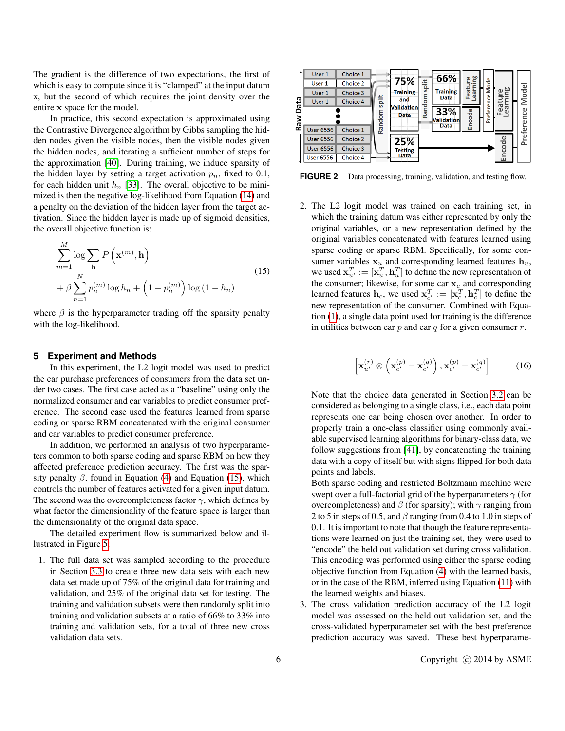The gradient is the difference of two expectations, the first of which is easy to compute since it is "clamped" at the input datum x, but the second of which requires the joint density over the entire x space for the model.

In practice, this second expectation is approximated using the Contrastive Divergence algorithm by Gibbs sampling the hidden nodes given the visible nodes, then the visible nodes given the hidden nodes, and iterating a sufficient number of steps for the approximation [\[40\]](#page-8-19). During training, we induce sparsity of the hidden layer by setting a target activation  $p_n$ , fixed to 0.1, for each hidden unit  $h_n$  [\[33\]](#page-8-12). The overall objective to be minimized is then the negative log-likelihood from Equation [\(14\)](#page-4-0) and a penalty on the deviation of the hidden layer from the target activation. Since the hidden layer is made up of sigmoid densities, the overall objective function is:

<span id="page-5-1"></span>
$$
\sum_{m=1}^{M} \log \sum_{\mathbf{h}} P\left(\mathbf{x}^{(m)}, \mathbf{h}\right)
$$
\n
$$
+ \beta \sum_{n=1}^{N} p_n^{(m)} \log h_n + \left(1 - p_n^{(m)}\right) \log \left(1 - h_n\right)
$$
\n(15)

where  $\beta$  is the hyperparameter trading off the sparsity penalty with the log-likelihood.

#### <span id="page-5-0"></span>**5 Experiment and Methods**

In this experiment, the L2 logit model was used to predict the car purchase preferences of consumers from the data set under two cases. The first case acted as a "baseline" using only the normalized consumer and car variables to predict consumer preference. The second case used the features learned from sparse coding or sparse RBM concatenated with the original consumer and car variables to predict consumer preference.

In addition, we performed an analysis of two hyperparameters common to both sparse coding and sparse RBM on how they affected preference prediction accuracy. The first was the sparsity penalty  $\beta$ , found in Equation [\(4\)](#page-3-3) and Equation [\(15\)](#page-5-1), which controls the number of features activated for a given input datum. The second was the overcompleteness factor  $\gamma$ , which defines by what factor the dimensionality of the feature space is larger than the dimensionality of the original data space.

The detailed experiment flow is summarized below and illustrated in Figure [5:](#page-5-2)

1. The full data set was sampled according to the procedure in Section [3.3](#page-2-3) to create three new data sets with each new data set made up of 75% of the original data for training and validation, and 25% of the original data set for testing. The training and validation subsets were then randomly split into training and validation subsets at a ratio of 66% to 33% into training and validation sets, for a total of three new cross validation data sets.



<span id="page-5-2"></span>**FIGURE 2**. Data processing, training, validation, and testing flow.

2. The L2 logit model was trained on each training set, in which the training datum was either represented by only the original variables, or a new representation defined by the original variables concatenated with features learned using sparse coding or sparse RBM. Specifically, for some consumer variables  $x_u$  and corresponding learned features  $h_u$ , we used  $\mathbf{x}_{u'}^T := [\mathbf{x}_u^T, \mathbf{h}_u^T]$  to define the new representation of the consumer; likewise, for some car  $x_c$  and corresponding learned features  $\mathbf{h}_c$ , we used  $\mathbf{x}_{c'}^T := [\mathbf{x}_c^T, \mathbf{h}_c^T]$  to define the new representation of the consumer. Combined with Equation [\(1\)](#page-3-2), a single data point used for training is the difference in utilities between car  $p$  and car  $q$  for a given consumer  $r$ .

$$
\left[\mathbf{x}_{u'}^{(r)}\otimes\left(\mathbf{x}_{c'}^{(p)}-\mathbf{x}_{c'}^{(q)}\right),\mathbf{x}_{c'}^{(p)}-\mathbf{x}_{c'}^{(q)}\right]
$$
 (16)

Note that the choice data generated in Section [3.2](#page-2-4) can be considered as belonging to a single class, i.e., each data point represents one car being chosen over another. In order to properly train a one-class classifier using commonly available supervised learning algorithms for binary-class data, we follow suggestions from [\[41\]](#page-8-20), by concatenating the training data with a copy of itself but with signs flipped for both data points and labels.

Both sparse coding and restricted Boltzmann machine were swept over a full-factorial grid of the hyperparameters  $\gamma$  (for overcompleteness) and  $\beta$  (for sparsity); with  $\gamma$  ranging from 2 to 5 in steps of 0.5, and  $\beta$  ranging from 0.4 to 1.0 in steps of 0.1. It is important to note that though the feature representations were learned on just the training set, they were used to "encode" the held out validation set during cross validation. This encoding was performed using either the sparse coding objective function from Equation [\(4\)](#page-3-3) with the learned basis, or in the case of the RBM, inferred using Equation [\(11\)](#page-4-1) with the learned weights and biases.

3. The cross validation prediction accuracy of the L2 logit model was assessed on the held out validation set, and the cross-validated hyperparameter set with the best preference prediction accuracy was saved. These best hyperparame-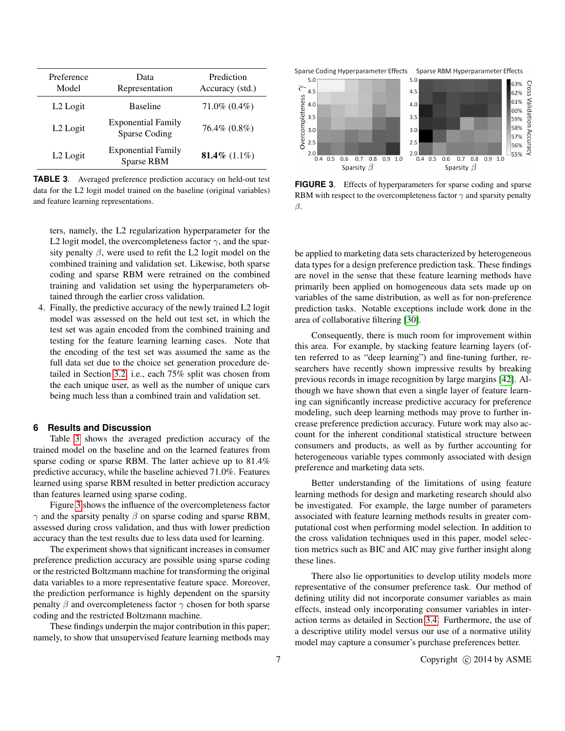| Preference<br>Model  | Data<br>Representation                     | Prediction<br>Accuracy (std.) |
|----------------------|--------------------------------------------|-------------------------------|
| L <sub>2</sub> Logit | <b>Baseline</b>                            | $71.0\%$ $(0.4\%)$            |
| L2 Logit             | <b>Exponential Family</b><br>Sparse Coding | 76.4% (0.8%)                  |
| L2 Logit             | <b>Exponential Family</b><br>Sparse RBM    | 81.4\% $(1.1\%)$              |

<span id="page-6-1"></span>**TABLE 3**. Averaged preference prediction accuracy on held-out test data for the L2 logit model trained on the baseline (original variables) and feature learning representations.

ters, namely, the L2 regularization hyperparameter for the L2 logit model, the overcompleteness factor  $\gamma$ , and the sparsity penalty  $\beta$ , were used to refit the L2 logit model on the combined training and validation set. Likewise, both sparse coding and sparse RBM were retrained on the combined training and validation set using the hyperparameters obtained through the earlier cross validation.

4. Finally, the predictive accuracy of the newly trained L2 logit model was assessed on the held out test set, in which the test set was again encoded from the combined training and testing for the feature learning learning cases. Note that the encoding of the test set was assumed the same as the full data set due to the choice set generation procedure detailed in Section [3.2,](#page-2-4) i.e., each 75% split was chosen from the each unique user, as well as the number of unique cars being much less than a combined train and validation set.

### <span id="page-6-0"></span>**6 Results and Discussion**

Table [3](#page-6-1) shows the averaged prediction accuracy of the trained model on the baseline and on the learned features from sparse coding or sparse RBM. The latter achieve up to 81.4% predictive accuracy, while the baseline achieved 71.0%. Features learned using sparse RBM resulted in better prediction accuracy than features learned using sparse coding.

Figure [3](#page-6-2) shows the influence of the overcompleteness factor  $\gamma$  and the sparsity penalty  $\beta$  on sparse coding and sparse RBM, assessed during cross validation, and thus with lower prediction accuracy than the test results due to less data used for learning.

The experiment shows that significant increases in consumer preference prediction accuracy are possible using sparse coding or the restricted Boltzmann machine for transforming the original data variables to a more representative feature space. Moreover, the prediction performance is highly dependent on the sparsity penalty  $\beta$  and overcompleteness factor  $\gamma$  chosen for both sparse coding and the restricted Boltzmann machine.

These findings underpin the major contribution in this paper; namely, to show that unsupervised feature learning methods may





<span id="page-6-2"></span>**FIGURE 3.** Effects of hyperparameters for sparse coding and sparse RBM with respect to the overcompleteness factor  $\gamma$  and sparsity penalty β.

be applied to marketing data sets characterized by heterogeneous data types for a design preference prediction task. These findings are novel in the sense that these feature learning methods have primarily been applied on homogeneous data sets made up on variables of the same distribution, as well as for non-preference prediction tasks. Notable exceptions include work done in the area of collaborative filtering [\[30\]](#page-8-9).

Consequently, there is much room for improvement within this area. For example, by stacking feature learning layers (often referred to as "deep learning") and fine-tuning further, researchers have recently shown impressive results by breaking previous records in image recognition by large margins [\[42\]](#page-8-21). Although we have shown that even a single layer of feature learning can significantly increase predictive accuracy for preference modeling, such deep learning methods may prove to further increase preference prediction accuracy. Future work may also account for the inherent conditional statistical structure between consumers and products, as well as by further accounting for heterogeneous variable types commonly associated with design preference and marketing data sets.

Better understanding of the limitations of using feature learning methods for design and marketing research should also be investigated. For example, the large number of parameters associated with feature learning methods results in greater computational cost when performing model selection. In addition to the cross validation techniques used in this paper, model selection metrics such as BIC and AIC may give further insight along these lines.

There also lie opportunities to develop utility models more representative of the consumer preference task. Our method of defining utility did not incorporate consumer variables as main effects, instead only incorporating consumer variables in interaction terms as detailed in Section [3.4.](#page-3-4) Furthermore, the use of a descriptive utility model versus our use of a normative utility model may capture a consumer's purchase preferences better.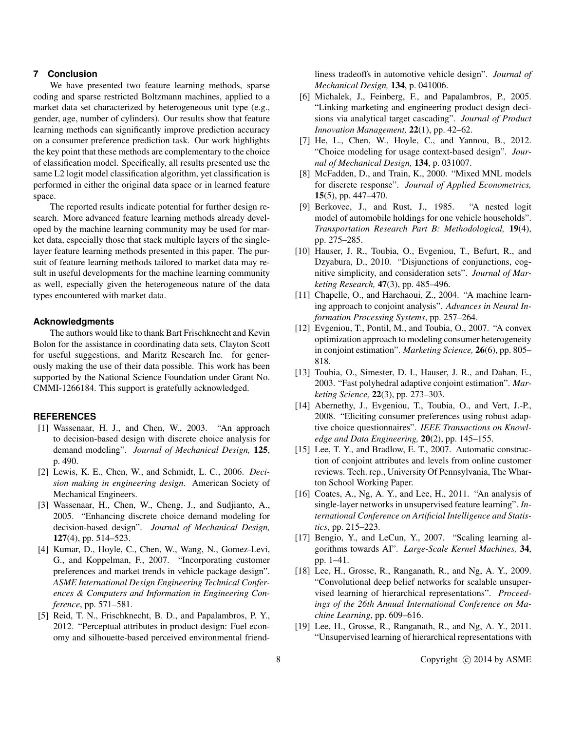## <span id="page-7-18"></span>**7 Conclusion**

We have presented two feature learning methods, sparse coding and sparse restricted Boltzmann machines, applied to a market data set characterized by heterogeneous unit type (e.g., gender, age, number of cylinders). Our results show that feature learning methods can significantly improve prediction accuracy on a consumer preference prediction task. Our work highlights the key point that these methods are complementary to the choice of classification model. Specifically, all results presented use the same L2 logit model classification algorithm, yet classification is performed in either the original data space or in learned feature space.

The reported results indicate potential for further design research. More advanced feature learning methods already developed by the machine learning community may be used for market data, especially those that stack multiple layers of the singlelayer feature learning methods presented in this paper. The pursuit of feature learning methods tailored to market data may result in useful developments for the machine learning community as well, especially given the heterogeneous nature of the data types encountered with market data.

#### **Acknowledgments**

The authors would like to thank Bart Frischknecht and Kevin Bolon for the assistance in coordinating data sets, Clayton Scott for useful suggestions, and Maritz Research Inc. for generously making the use of their data possible. This work has been supported by the National Science Foundation under Grant No. CMMI-1266184. This support is gratefully acknowledged.

## **REFERENCES**

- <span id="page-7-0"></span>[1] Wassenaar, H. J., and Chen, W., 2003. "An approach to decision-based design with discrete choice analysis for demand modeling". *Journal of Mechanical Design,* 125, p. 490.
- <span id="page-7-1"></span>[2] Lewis, K. E., Chen, W., and Schmidt, L. C., 2006. *Decision making in engineering design*. American Society of Mechanical Engineers.
- <span id="page-7-2"></span>[3] Wassenaar, H., Chen, W., Cheng, J., and Sudjianto, A., 2005. "Enhancing discrete choice demand modeling for decision-based design". *Journal of Mechanical Design,* 127(4), pp. 514–523.
- <span id="page-7-3"></span>[4] Kumar, D., Hoyle, C., Chen, W., Wang, N., Gomez-Levi, G., and Koppelman, F., 2007. "Incorporating customer preferences and market trends in vehicle package design". *ASME International Design Engineering Technical Conferences & Computers and Information in Engineering Conference*, pp. 571–581.
- <span id="page-7-4"></span>[5] Reid, T. N., Frischknecht, B. D., and Papalambros, P. Y., 2012. "Perceptual attributes in product design: Fuel economy and silhouette-based perceived environmental friend-

liness tradeoffs in automotive vehicle design". *Journal of Mechanical Design,* 134, p. 041006.

- <span id="page-7-5"></span>[6] Michalek, J., Feinberg, F., and Papalambros, P., 2005. "Linking marketing and engineering product design decisions via analytical target cascading". *Journal of Product Innovation Management,* 22(1), pp. 42–62.
- <span id="page-7-6"></span>[7] He, L., Chen, W., Hoyle, C., and Yannou, B., 2012. "Choice modeling for usage context-based design". *Journal of Mechanical Design,* 134, p. 031007.
- <span id="page-7-7"></span>[8] McFadden, D., and Train, K., 2000. "Mixed MNL models for discrete response". *Journal of Applied Econometrics,* 15(5), pp. 447–470.
- <span id="page-7-8"></span>[9] Berkovec, J., and Rust, J., 1985. "A nested logit model of automobile holdings for one vehicle households". *Transportation Research Part B: Methodological,* 19(4), pp. 275–285.
- <span id="page-7-9"></span>[10] Hauser, J. R., Toubia, O., Evgeniou, T., Befurt, R., and Dzyabura, D., 2010. "Disjunctions of conjunctions, cognitive simplicity, and consideration sets". *Journal of Marketing Research,* 47(3), pp. 485–496.
- <span id="page-7-10"></span>[11] Chapelle, O., and Harchaoui, Z., 2004. "A machine learning approach to conjoint analysis". *Advances in Neural Information Processing Systems*, pp. 257–264.
- <span id="page-7-11"></span>[12] Evgeniou, T., Pontil, M., and Toubia, O., 2007. "A convex optimization approach to modeling consumer heterogeneity in conjoint estimation". *Marketing Science,* 26(6), pp. 805– 818.
- <span id="page-7-12"></span>[13] Toubia, O., Simester, D. I., Hauser, J. R., and Dahan, E., 2003. "Fast polyhedral adaptive conjoint estimation". *Marketing Science,* 22(3), pp. 273–303.
- <span id="page-7-13"></span>[14] Abernethy, J., Evgeniou, T., Toubia, O., and Vert, J.-P., 2008. "Eliciting consumer preferences using robust adaptive choice questionnaires". *IEEE Transactions on Knowledge and Data Engineering,* 20(2), pp. 145–155.
- <span id="page-7-14"></span>[15] Lee, T. Y., and Bradlow, E. T., 2007. Automatic construction of conjoint attributes and levels from online customer reviews. Tech. rep., University Of Pennsylvania, The Wharton School Working Paper.
- <span id="page-7-15"></span>[16] Coates, A., Ng, A. Y., and Lee, H., 2011. "An analysis of single-layer networks in unsupervised feature learning". *International Conference on Artificial Intelligence and Statistics*, pp. 215–223.
- <span id="page-7-16"></span>[17] Bengio, Y., and LeCun, Y., 2007. "Scaling learning algorithms towards AI". *Large-Scale Kernel Machines,* 34, pp. 1–41.
- [18] Lee, H., Grosse, R., Ranganath, R., and Ng, A. Y., 2009. "Convolutional deep belief networks for scalable unsupervised learning of hierarchical representations". *Proceedings of the 26th Annual International Conference on Machine Learning*, pp. 609–616.
- <span id="page-7-17"></span>[19] Lee, H., Grosse, R., Ranganath, R., and Ng, A. Y., 2011. "Unsupervised learning of hierarchical representations with